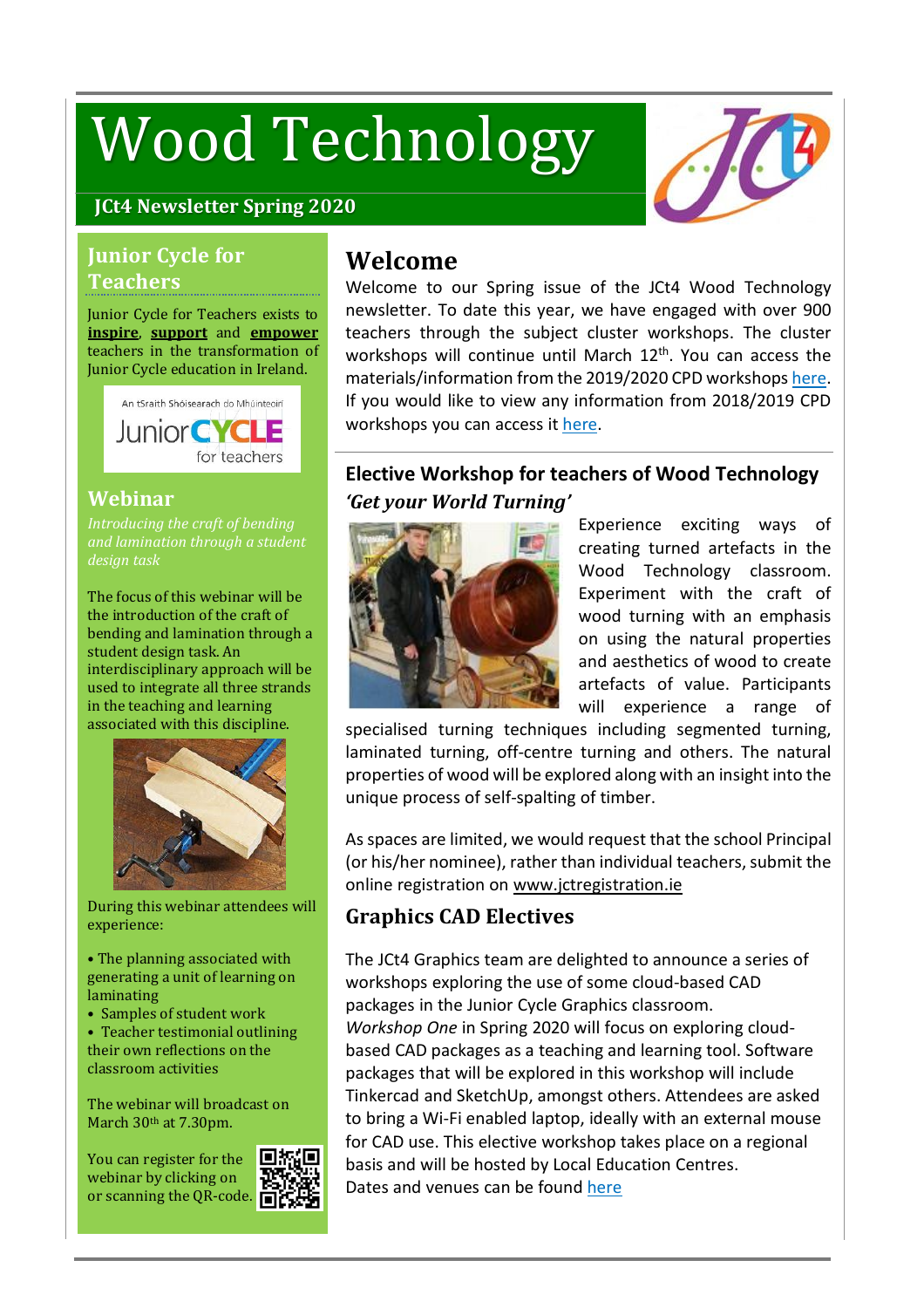# Wood Technology



#### **JCt4 Newsletter Spring 2020**

#### **Junior Cycle for Teachers**

#### Junior Cycle for Teachers exists to **inspire**, **support** and **empower** teachers in the transformation of Junior Cycle education in Ireland.



#### **Webinar**

*and lamination through a student design task*

The focus of this webinar will be the introduction of the craft of bending and lamination through a student design task. An interdisciplinary approach will be used to integrate all three strands in the teaching and learning associated with this discipline.



During this webinar attendees will experience:

• The planning associated with generating a unit of learning on laminating

• Samples of student work

• Teacher testimonial outlining their own reflections on the classroom activities

The webinar will broadcast on March 30<sup>th</sup> at 7.30pm.

You can register for the webinar by clicking on or scanning the QR-code.



## **Welcome**

Welcome to our Spring issue of the JCt4 Wood Technology newsletter. To date this year, we have engaged with over 900 teachers through the subject cluster workshops. The cluster workshops will continue until March 12<sup>th</sup>. You can access the materials/information from the 2019/2020 CPD workshops [here.](https://www.jct.ie/technologies/cpd_supports_wood_technology_cpd_workshops_2019_2020) If you would like to view any information from 2018/2019 CPD workshops you can access it [here.](https://www.jct.ie/technologies/cpd_supports_wood_technology_cpd_workshops_2018_2019)

#### **Elective Workshop for teachers of Wood Technology** *'Get your World Turning'*



Experience exciting ways of creating turned artefacts in the Wood Technology classroom. Experiment with the craft of wood turning with an emphasis on using the natural properties and aesthetics of wood to create artefacts of value. Participants will experience a range of

specialised turning techniques including segmented turning, laminated turning, off-centre turning and others. The natural properties of wood will be explored along with an insight into the unique process of self-spalting of timber.

Asspaces are limited, we would request that the school Principal (or his/her nominee), rather than individual teachers, submit the online registration on [www.jctregistration.ie](http://www.jctregistration.ie/)

### **Graphics CAD Electives**

The JCt4 Graphics team are delighted to announce a series of workshops exploring the use of some cloud-based CAD packages in the Junior Cycle Graphics classroom. *Workshop One* in Spring 2020 will focus on exploring cloudbased CAD packages as a teaching and learning tool. Software packages that will be explored in this workshop will include Tinkercad and SketchUp, amongst others. Attendees are asked to bring a Wi-Fi enabled laptop, ideally with an external mouse for CAD use. This elective workshop takes place on a regional basis and will be hosted by Local Education Centres. Dates and venues can be found [here](https://juniorcycle.us9.list-manage.com/track/click?u=127fd131486ae7bd295cdba56&id=eceaeaac33&e=4aefc8be0c)